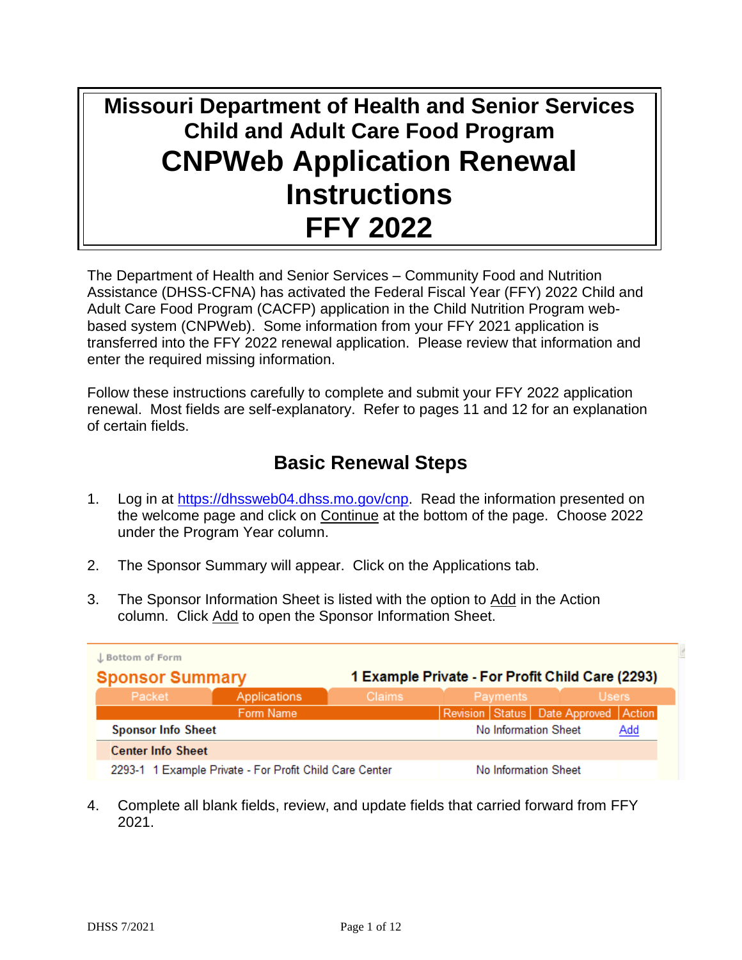# **Missouri Department of Health and Senior Services Child and Adult Care Food Program CNPWeb Application Renewal Instructions FFY 2022**

The Department of Health and Senior Services – Community Food and Nutrition Assistance (DHSS-CFNA) has activated the Federal Fiscal Year (FFY) 2022 Child and Adult Care Food Program (CACFP) application in the Child Nutrition Program webbased system (CNPWeb). Some information from your FFY 2021 application is transferred into the FFY 2022 renewal application. Please review that information and enter the required missing information.

Follow these instructions carefully to complete and submit your FFY 2022 application renewal. Most fields are self-explanatory. Refer to pages 11 and 12 for an explanation of certain fields.

# **Basic Renewal Steps**

- 1. Log in at [https://dhssweb04.dhss.mo.gov/cnp.](https://dhssweb04.dhss.mo.gov/cnp) Read the information presented on the welcome page and click on Continue at the bottom of the page. Choose 2022 under the Program Year column.
- 2. The Sponsor Summary will appear. Click on the Applications tab.
- 3. The Sponsor Information Sheet is listed with the option to Add in the Action column. Click Add to open the Sponsor Information Sheet.

| J. Bottom of Form<br>1 Example Private - For Profit Child Care (2293)<br><b>Sponsor Summary</b> |                                                         |               |                                      |          |                      |              |     |
|-------------------------------------------------------------------------------------------------|---------------------------------------------------------|---------------|--------------------------------------|----------|----------------------|--------------|-----|
| Packet                                                                                          | Applications                                            | <b>Claims</b> |                                      | Payments |                      | <b>Users</b> |     |
|                                                                                                 | Form Name                                               |               | Revision Status Date Approved Action |          |                      |              |     |
| <b>Sponsor Info Sheet</b>                                                                       |                                                         |               |                                      |          | No Information Sheet |              | Add |
| <b>Center Info Sheet</b>                                                                        |                                                         |               |                                      |          |                      |              |     |
|                                                                                                 | 2293-1 1 Example Private - For Profit Child Care Center |               |                                      |          | No Information Sheet |              |     |

4. Complete all blank fields, review, and update fields that carried forward from FFY 2021.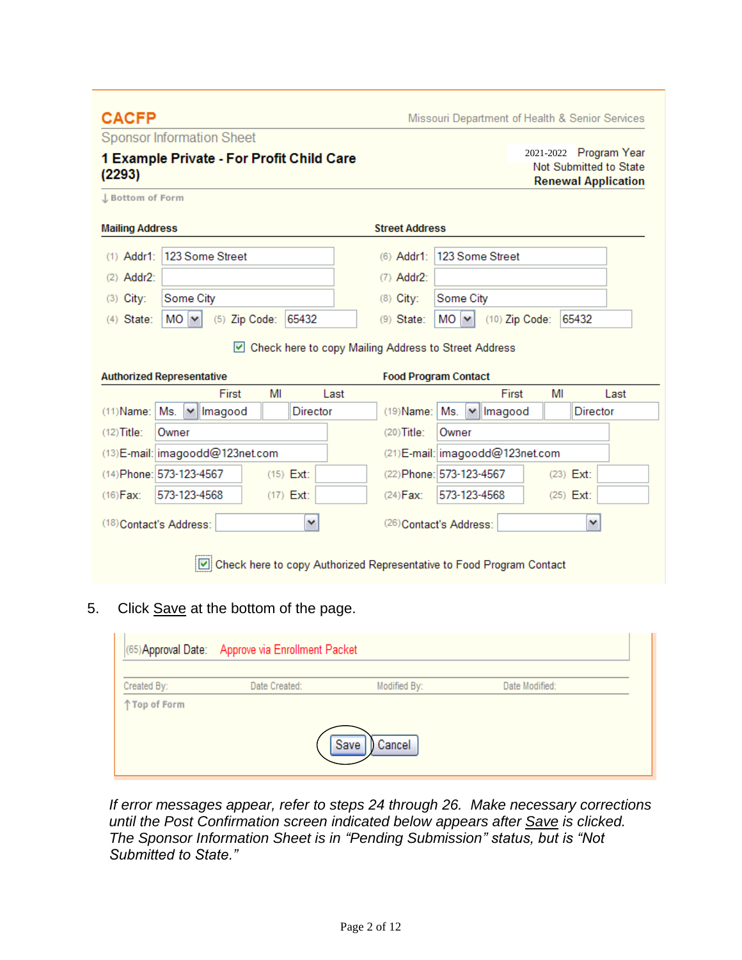#### **CACFP**

Missouri Department of Health & Senior Services

Sponsor Information Sheet

# 1 Example Private - For Profit Child Care  $(2293)$

2021-2022 Program Year Not Submitted to State **Renewal Application** 

J Bottom of Form

| <b>Mailing Address</b>                                | <b>Street Address</b>                                    |
|-------------------------------------------------------|----------------------------------------------------------|
| (1) Addr1: 123 Some Street                            | (6) Addr1: 123 Some Street                               |
| $(2)$ Addr2:                                          | $(7)$ Addr2:                                             |
| Some City<br>$(3)$ City:                              | (8) City:<br>Some City                                   |
| $MO \sim$<br>$(5)$ Zip Code:<br>$(4)$ State:<br>65432 | $MO$ $\vee$<br>65432<br>$(10)$ Zip Code:<br>$(9)$ State: |
|                                                       | Check here to copy Mailing Address to Street Address     |
| <b>Authorized Renresentative</b>                      | <b>Food Program Contact</b>                              |

| <b>AUGIOLIZEG INSPIRATION TO</b> |                                  |              |      | <b>TOOGT TOGTUM COMMON</b> |       |                                                                      |    |              |
|----------------------------------|----------------------------------|--------------|------|----------------------------|-------|----------------------------------------------------------------------|----|--------------|
|                                  | First                            | MI           | Last |                            |       | First                                                                | MI | Last         |
| $(11)$ Name: $Ms$ .              | Imagood<br>$\checkmark$          | Director     |      | $(19)$ Name: $Ms$ .        |       | $\blacktriangleright$ Imagood                                        |    | Director     |
| $(12)$ Title:                    | Owner                            |              |      | $(20)$ Title:              | Owner |                                                                      |    |              |
|                                  | (13) E-mail: imagoodd@123net.com |              |      |                            |       | (21) E-mail: imagoodd@123net.com                                     |    |              |
| (14) Phone: 573-123-4567         |                                  | $(15)$ Ext:  |      | (22) Phone: 573-123-4567   |       |                                                                      |    | $(23)$ Ext:  |
| $(16)$ Fax:                      | 573-123-4568                     | $(17)$ Ext:  |      | $(24)$ Fax:                |       | 573-123-4568                                                         |    | $(25)$ Ext:  |
| (18) Contact's Address:          |                                  | $\checkmark$ |      | (26) Contact's Address:    |       |                                                                      |    | $\checkmark$ |
|                                  |                                  |              |      |                            |       | Check here to copy Authorized Representative to Food Program Contact |    |              |

5. Click Save at the bottom of the page.

|              | (65) Approval Date: Approve via Enrollment Packet |                |                |  |
|--------------|---------------------------------------------------|----------------|----------------|--|
| Created By:  | Date Created:                                     | Modified By:   | Date Modified: |  |
| 个Top of Form |                                                   |                |                |  |
|              |                                                   | Save<br>Cancel |                |  |

*If error messages appear, refer to steps 24 through 26. Make necessary corrections until the Post Confirmation screen indicated below appears after Save is clicked. The Sponsor Information Sheet is in "Pending Submission" status, but is "Not Submitted to State."*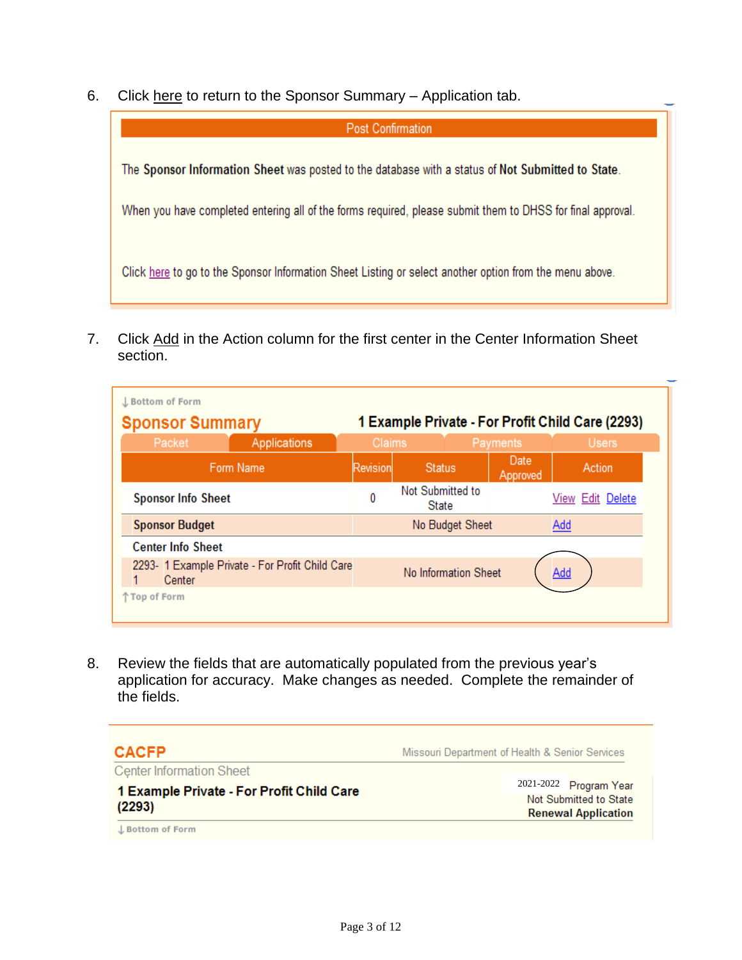6. Click here to return to the Sponsor Summary – Application tab.



7. Click Add in the Action column for the first center in the Center Information Sheet section.

| L Bottom of Form                                          |                           |                                                  |          |                                  |                      |                  |                  |  |
|-----------------------------------------------------------|---------------------------|--------------------------------------------------|----------|----------------------------------|----------------------|------------------|------------------|--|
| <b>Sponsor Summary</b>                                    |                           | 1 Example Private - For Profit Child Care (2293) |          |                                  |                      |                  |                  |  |
| Packet                                                    |                           | Applications                                     | Claims   |                                  |                      | Payments         | <b>Users</b>     |  |
|                                                           | Form Name                 |                                                  | Revision | <b>Status</b>                    |                      | Date<br>Approved | Action           |  |
|                                                           | <b>Sponsor Info Sheet</b> |                                                  | 0        | Not Submitted to<br><b>State</b> |                      |                  | View Edit Delete |  |
|                                                           | <b>Sponsor Budget</b>     |                                                  |          |                                  | No Budget Sheet      |                  | Add              |  |
| <b>Center Info Sheet</b>                                  |                           |                                                  |          |                                  |                      |                  |                  |  |
| 2293- 1 Example Private - For Profit Child Care<br>Center |                           |                                                  |          |                                  | No Information Sheet |                  | Add              |  |
| 个 Top of Form                                             |                           |                                                  |          |                                  |                      |                  |                  |  |

8. Review the fields that are automatically populated from the previous year's application for accuracy. Make changes as needed. Complete the remainder of the fields.

# **CACFP**

Missouri Department of Health & Senior Services

**Center Information Sheet** 

1 Example Private - For Profit Child Care  $(2293)$ 

2021-2022 Program Year Not Submitted to State **Renewal Application** 

L Bottom of Form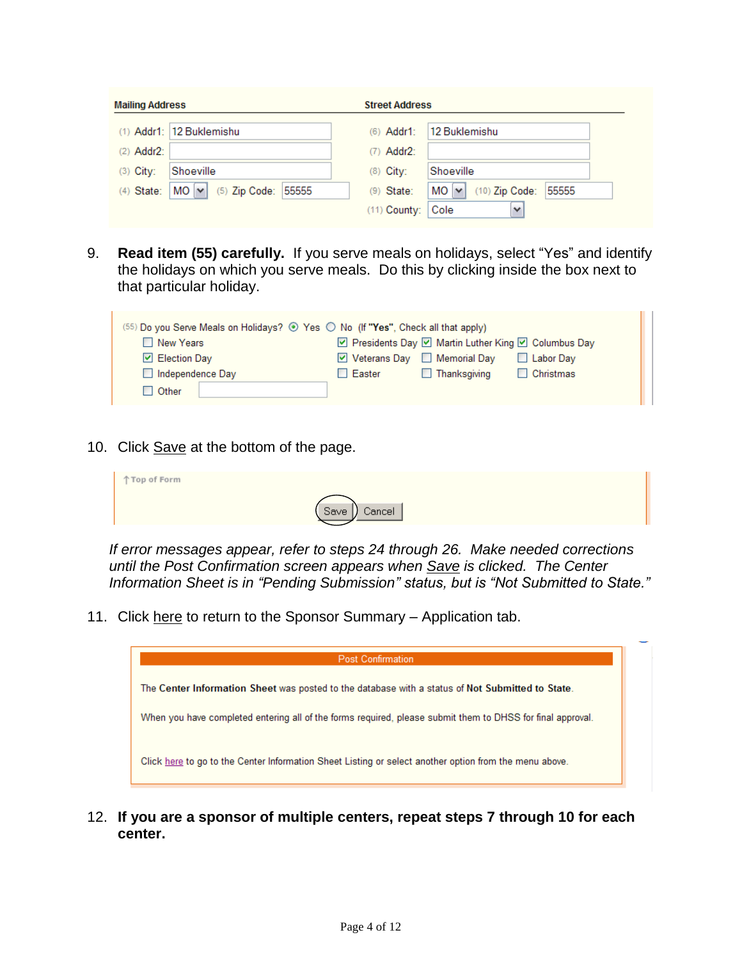| <b>Mailing Address</b>                                  | <b>Street Address</b>                                  |  |
|---------------------------------------------------------|--------------------------------------------------------|--|
| (1) Addr1: 12 Buklemishu                                | $(6)$ Addr1:<br>12 Buklemishu                          |  |
| $(2)$ Addr2:                                            | $(7)$ Addr2:                                           |  |
| $(3)$ City:<br>Shoeville                                | $(8)$ City:<br>Shoeville                               |  |
| $MO$ $\vee$<br>$(5)$ Zip Code:<br>55555<br>$(4)$ State: | $MO \vee$<br>55555<br>$(10)$ Zip Code:<br>$(9)$ State: |  |
|                                                         | $(11)$ County:<br>Cole<br>$\checkmark$                 |  |

9. **Read item (55) carefully.** If you serve meals on holidays, select "Yes" and identify the holidays on which you serve meals. Do this by clicking inside the box next to that particular holiday.

| (55) Do you Serve Meals on Holidays? © Yes O No (If "Yes", Check all that apply) |                                                      |  |  |  |  |  |
|----------------------------------------------------------------------------------|------------------------------------------------------|--|--|--|--|--|
| New Years                                                                        | ☑ Presidents Day ☑ Martin Luther King ☑ Columbus Day |  |  |  |  |  |
| $\triangleright$ Election Day                                                    | V Veterans Day □ Memorial Day<br>Labor Day           |  |  |  |  |  |
| Independence Day                                                                 | Christmas<br>$\Box$ Thanksgiving<br>$\Box$ Easter    |  |  |  |  |  |
| $\Box$ Other                                                                     |                                                      |  |  |  |  |  |

10. Click Save at the bottom of the page.

| 个Top of Form |               |
|--------------|---------------|
|              | Save   Cancel |

*If error messages appear, refer to steps 24 through 26. Make needed corrections until the Post Confirmation screen appears when Save is clicked. The Center Information Sheet is in "Pending Submission" status, but is "Not Submitted to State."*

11. Click here to return to the Sponsor Summary - Application tab.

| <b>Post Confirmation</b>                                                                                   |  |
|------------------------------------------------------------------------------------------------------------|--|
| The Center Information Sheet was posted to the database with a status of Not Submitted to State.           |  |
| When you have completed entering all of the forms required, please submit them to DHSS for final approval. |  |
| Click here to go to the Center Information Sheet Listing or select another option from the menu above.     |  |

12. **If you are a sponsor of multiple centers, repeat steps 7 through 10 for each center.**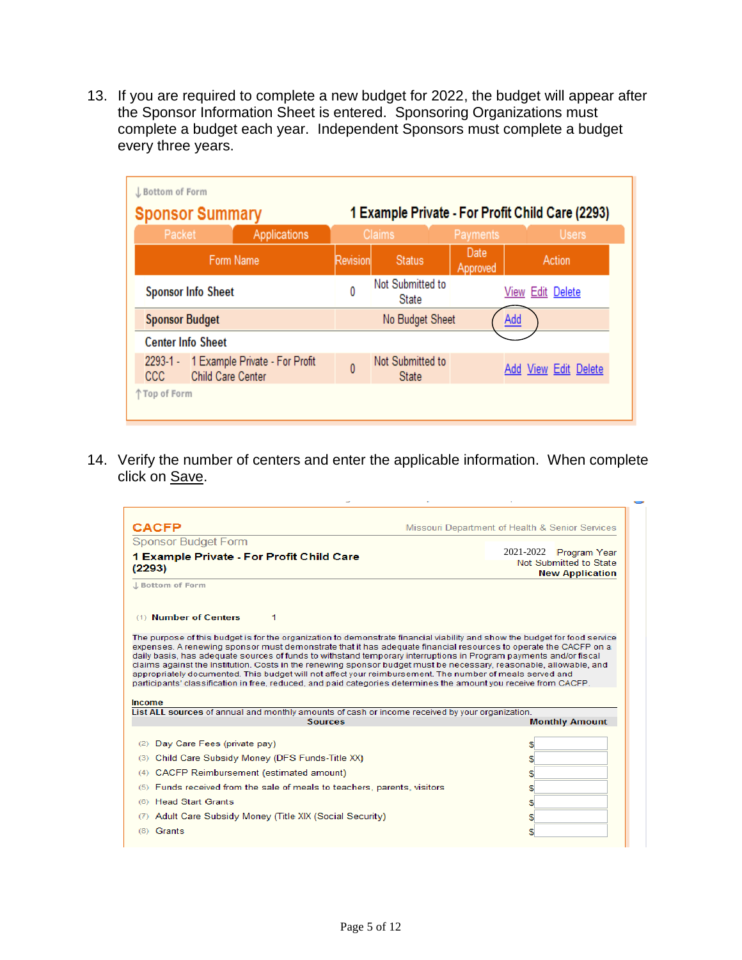13. If you are required to complete a new budget for 2022, the budget will appear after the Sponsor Information Sheet is entered. Sponsoring Organizations must complete a budget each year. Independent Sponsors must complete a budget every three years.

| <b>Sponsor Summary</b>     |                                                            |                | 1 Example Private - For Profit Child Care (2293) |                  |                      |  |  |
|----------------------------|------------------------------------------------------------|----------------|--------------------------------------------------|------------------|----------------------|--|--|
| Packet                     | Applications                                               |                | <b>Claims</b>                                    | Payments         | <b>Users</b>         |  |  |
|                            | Form Name                                                  | Revision       | <b>Status</b>                                    | Date<br>Approved | Action               |  |  |
| <b>Sponsor Info Sheet</b>  |                                                            | 0              | Not Submitted to<br>State                        |                  | View Edit Delete     |  |  |
| <b>Sponsor Budget</b>      |                                                            |                | No Budget Sheet                                  |                  | <b>Add</b>           |  |  |
| <b>Center Info Sheet</b>   |                                                            |                |                                                  |                  |                      |  |  |
| $2293 - 1 -$<br><b>CCC</b> | 1 Example Private - For Profit<br><b>Child Care Center</b> | $\overline{0}$ | Not Submitted to<br><b>State</b>                 |                  | Add View Edit Delete |  |  |

14. Verify the number of centers and enter the applicable information. When complete click on Save.

| <b>CACFP</b>                                                                                                                                                                                                                                                                                                                                                                                                                                                            | Missouri Department of Health & Senior Services                                                                            |
|-------------------------------------------------------------------------------------------------------------------------------------------------------------------------------------------------------------------------------------------------------------------------------------------------------------------------------------------------------------------------------------------------------------------------------------------------------------------------|----------------------------------------------------------------------------------------------------------------------------|
| <b>Sponsor Budget Form</b>                                                                                                                                                                                                                                                                                                                                                                                                                                              |                                                                                                                            |
| 1 Example Private - For Profit Child Care                                                                                                                                                                                                                                                                                                                                                                                                                               | 2021-2022<br>Program Year                                                                                                  |
| (2293)                                                                                                                                                                                                                                                                                                                                                                                                                                                                  | Not Submitted to State<br><b>New Application</b>                                                                           |
| L Bottom of Form                                                                                                                                                                                                                                                                                                                                                                                                                                                        |                                                                                                                            |
| (1) Number of Centers<br>1                                                                                                                                                                                                                                                                                                                                                                                                                                              | The purpose of this budget is for the organization to demonstrate financial viability and show the budget for food service |
| expenses. A renewing sponsor must demonstrate that it has adequate financial resources to operate the CACFP on a<br>daily basis, has adequate sources of funds to withstand temporary interruptions in Program payments and/or fiscal<br>claims against the Institution. Costs in the renewing sponsor budget must be necessary, reasonable, allowable, and<br>appropriately documented. This budget will not affect your reimbursement. The number of meals served and |                                                                                                                            |
| participants' classification in free, reduced, and paid categories determines the amount you receive from CACFP.<br><b>Income</b><br>List ALL sources of annual and monthly amounts of cash or income received by your organization.                                                                                                                                                                                                                                    |                                                                                                                            |
| <b>Sources</b>                                                                                                                                                                                                                                                                                                                                                                                                                                                          | <b>Monthly Amount</b>                                                                                                      |
| Day Care Fees (private pay)<br>(2)                                                                                                                                                                                                                                                                                                                                                                                                                                      |                                                                                                                            |
| Child Care Subsidy Money (DFS Funds-Title XX)<br>(3)                                                                                                                                                                                                                                                                                                                                                                                                                    |                                                                                                                            |
| CACFP Reimbursement (estimated amount)<br>(4)                                                                                                                                                                                                                                                                                                                                                                                                                           |                                                                                                                            |
| Funds received from the sale of meals to teachers, parents, visitors<br>(5)                                                                                                                                                                                                                                                                                                                                                                                             | S.                                                                                                                         |
| <b>Head Start Grants</b><br>(6)                                                                                                                                                                                                                                                                                                                                                                                                                                         |                                                                                                                            |
| Adult Care Subsidy Money (Title XIX (Social Security)<br>(7)                                                                                                                                                                                                                                                                                                                                                                                                            |                                                                                                                            |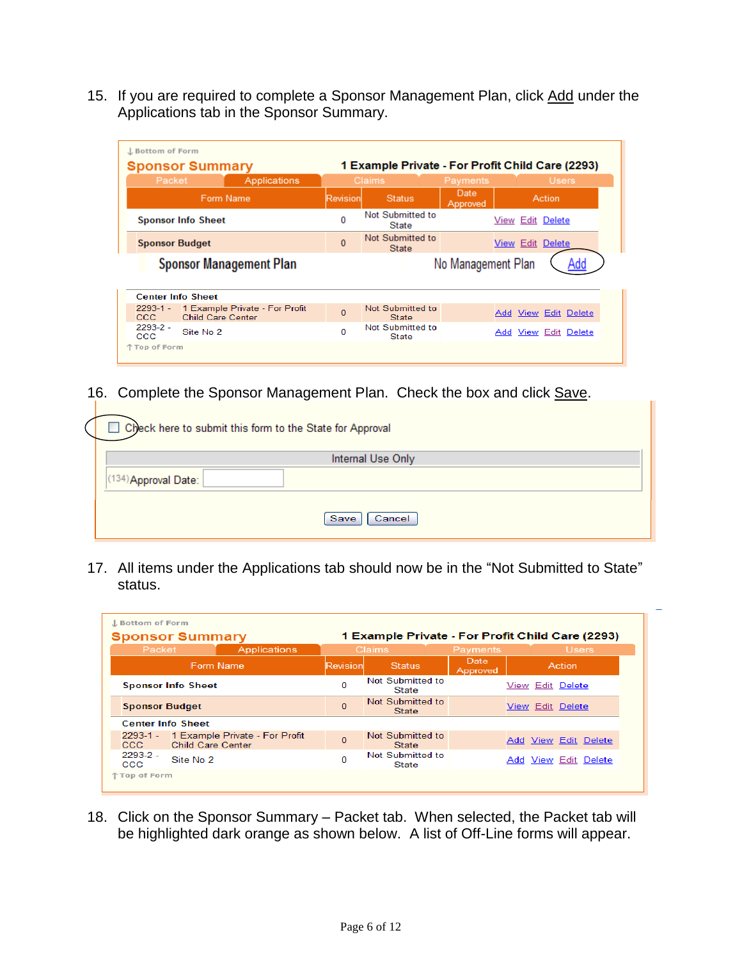15. If you are required to complete a Sponsor Management Plan, click Add under the Applications tab in the Sponsor Summary.

| J. Bottom of Form<br>1 Example Private - For Profit Child Care (2293)<br><b>Sponsor Summary</b> |                                                            |                |                                  |                    |                         |
|-------------------------------------------------------------------------------------------------|------------------------------------------------------------|----------------|----------------------------------|--------------------|-------------------------|
| Packet                                                                                          | <b>Applications</b>                                        |                | <b>Claims</b>                    | Payments           | <b>Users</b>            |
|                                                                                                 | Form Name                                                  | Revision       | <b>Status</b>                    | Date<br>Approved   | Action                  |
|                                                                                                 | <b>Sponsor Info Sheet</b>                                  | 0              | Not Submitted to<br>State        |                    | View Edit Delete        |
| <b>Sponsor Budget</b>                                                                           |                                                            | $\overline{0}$ | Not Submitted to<br>State        |                    | <b>View Edit Delete</b> |
|                                                                                                 | <b>Sponsor Management Plan</b>                             |                |                                  | No Management Plan |                         |
| <b>Center Info Sheet</b>                                                                        |                                                            |                |                                  |                    |                         |
| $2293 - 1 -$<br>ccc.                                                                            | 1 Example Private - For Profit<br><b>Child Care Center</b> | $\overline{0}$ | Not Submitted to<br>State        |                    | Add View Edit Delete    |
| $2293 - 2 -$<br><b>CCC</b>                                                                      | Site No. 2                                                 | 0              | Not Submitted to<br><b>State</b> |                    | Add View Edit Delete    |
| 个 Top of Form                                                                                   |                                                            |                |                                  |                    |                         |

16. Complete the Sponsor Management Plan. Check the box and click Save.

| Check here to submit this form to the State for Approval |  |  |  |  |  |  |  |  |
|----------------------------------------------------------|--|--|--|--|--|--|--|--|
| Internal Use Only                                        |  |  |  |  |  |  |  |  |
| (134) Approval Date:                                     |  |  |  |  |  |  |  |  |
| Save<br>Cancel                                           |  |  |  |  |  |  |  |  |

 $\mathbf{L}$ 

17. All items under the Applications tab should now be in the "Not Submitted to State" status.

| J. Bottom of Form<br><b>Sponsor Summary</b><br>1 Example Private - For Profit Child Care (2293) |                          |                                |                |                                  |                         |  |  |                         |
|-------------------------------------------------------------------------------------------------|--------------------------|--------------------------------|----------------|----------------------------------|-------------------------|--|--|-------------------------|
| Packet                                                                                          |                          | Applications                   |                | <b>Claims</b>                    | Payments                |  |  | <b>Users</b>            |
| Form Name                                                                                       |                          |                                | Revision       | Status.                          | <b>Date</b><br>Approved |  |  | Action                  |
| <b>Sponsor Info Sheet</b>                                                                       |                          |                                | 0              | Not Submitted to<br>State        |                         |  |  | View Edit Delete        |
| <b>Sponsor Budget</b>                                                                           |                          |                                | $\overline{0}$ | Not Submitted to<br><b>State</b> |                         |  |  | <b>View Edit Delete</b> |
| <b>Center Info Sheet</b>                                                                        |                          |                                |                |                                  |                         |  |  |                         |
| $2293 - 1 -$<br>CCC.                                                                            | <b>Child Care Center</b> | 1 Example Private - For Profit | $\overline{0}$ | Not Submitted to<br><b>State</b> |                         |  |  | Add View Edit Delete    |
| $2293-2$ -<br><b>CCC</b>                                                                        | Site No 2                |                                | 0              | Not Submitted to<br>State        |                         |  |  | Add View Edit Delete    |
| 个 Top of Form                                                                                   |                          |                                |                |                                  |                         |  |  |                         |

18. Click on the Sponsor Summary – Packet tab. When selected, the Packet tab will be highlighted dark orange as shown below. A list of Off-Line forms will appear.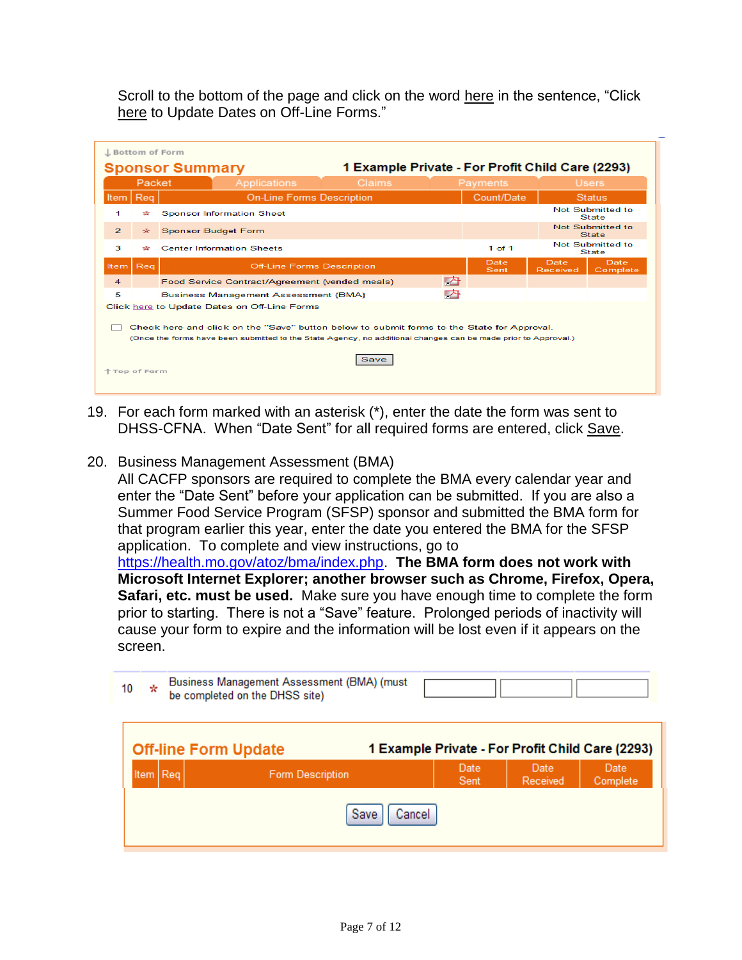Scroll to the bottom of the page and click on the word here in the sentence, "Click" [here](http://dhssweb04.dhss.mo.gov/cnptraining/Core/OfflineForms.asp?PacketId=2468) to Update Dates on Off-Line Forms."

| L Bottom of Form<br>1 Example Private - For Profit Child Care (2293)<br><b>Sponsor Summary</b>                                                                                                                                             |        |                                                     |               |                  |                                  |  |  |
|--------------------------------------------------------------------------------------------------------------------------------------------------------------------------------------------------------------------------------------------|--------|-----------------------------------------------------|---------------|------------------|----------------------------------|--|--|
|                                                                                                                                                                                                                                            | Packet | Applications<br><b>Claims</b>                       | Payments      |                  | <b>Users</b>                     |  |  |
| Item                                                                                                                                                                                                                                       | Reg    | <b>On-Line Forms Description</b>                    | Count/Date    |                  | <b>Status</b>                    |  |  |
| 1                                                                                                                                                                                                                                          | ÷      | <b>Sponsor Information Sheet</b>                    |               |                  | Not Submitted to<br><b>State</b> |  |  |
| $\overline{2}$                                                                                                                                                                                                                             | *      | <b>Sponsor Budget Form</b>                          |               |                  | Not Submitted to<br><b>State</b> |  |  |
| 3                                                                                                                                                                                                                                          | ÷      | <b>Center Information Sheets</b>                    | $1$ of $1$    |                  | Not Submitted to<br><b>State</b> |  |  |
| Item   Reg                                                                                                                                                                                                                                 |        | <b>Off-Line Forms Description</b>                   | Date,<br>Sent | Date<br>Received | Date,<br>Complete                |  |  |
| $\overline{4}$                                                                                                                                                                                                                             |        | 内<br>Food Service Contract/Agreement (vended meals) |               |                  |                                  |  |  |
| 5                                                                                                                                                                                                                                          |        | 內<br>Business Management Assessment (BMA)           |               |                  |                                  |  |  |
|                                                                                                                                                                                                                                            |        | Click here to Update Dates on Off-Line Forms        |               |                  |                                  |  |  |
| Check here and click on the "Save" button below to submit forms to the State for Approval.<br>(Once the forms have been submitted to the State Agency, no additional changes can be made prior to Approval.)<br>Save<br><b>Top of Form</b> |        |                                                     |               |                  |                                  |  |  |

19. For each form marked with an asterisk (\*), enter the date the form was sent to DHSS-CFNA. When "Date Sent" for all required forms are entered, click Save.

### 20. Business Management Assessment (BMA)

All CACFP sponsors are required to complete the BMA every calendar year and enter the "Date Sent" before your application can be submitted. If you are also a Summer Food Service Program (SFSP) sponsor and submitted the BMA form for that program earlier this year, enter the date you entered the BMA for the SFSP application. To complete and view instructions, go to [https://health.mo.gov/atoz/bma/index.php.](https://health.mo.gov/atoz/bma/index.php) **The BMA form does not work with Microsoft Internet Explorer; another browser such as Chrome, Firefox, Opera,** 

**Safari, etc. must be used.** Make sure you have enough time to complete the form prior to starting. There is not a "Save" feature. Prolonged periods of inactivity will cause your form to expire and the information will be lost even if it appears on the screen.

| 10 | ∗                                   |  | Business Management Assessment (BMA) (must<br>be completed on the DHSS site) |  |              |                  |                                                  |  |
|----|-------------------------------------|--|------------------------------------------------------------------------------|--|--------------|------------------|--------------------------------------------------|--|
|    |                                     |  | <b>Off-line Form Update</b>                                                  |  |              |                  | 1 Example Private - For Profit Child Care (2293) |  |
|    | Item Req<br><b>Form Description</b> |  |                                                                              |  | Date<br>Sent | Date<br>Received | Date<br>Complete                                 |  |
|    | Save<br>Cancel                      |  |                                                                              |  |              |                  |                                                  |  |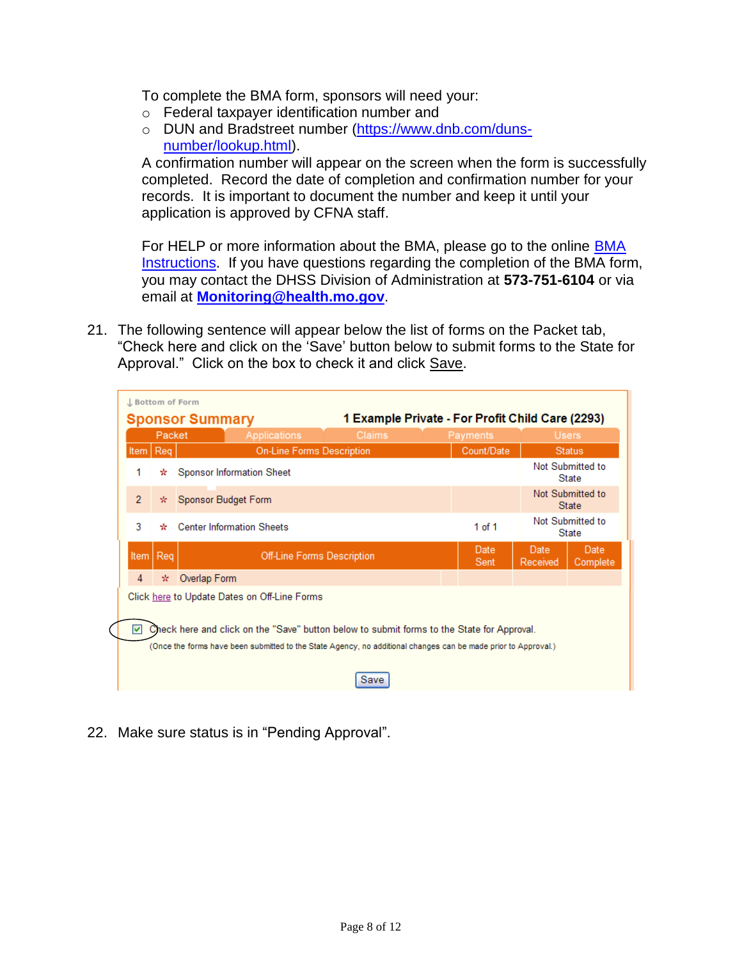To complete the BMA form, sponsors will need your:

- o Federal taxpayer identification number and
- o DUN and Bradstreet number [\(https://www.dnb.com/duns](https://www.dnb.com/duns-number/lookup.html)[number/lookup.html\)](https://www.dnb.com/duns-number/lookup.html).

A confirmation number will appear on the screen when the form is successfully completed. Record the date of completion and confirmation number for your records. It is important to document the number and keep it until your application is approved by CFNA staff.

For HELP or more information about the BMA, please go to the online [BMA](http://health.mo.gov/living/dnhs_pdfs/BMA_Paper_Instructions.pdf)  [Instructions.](http://health.mo.gov/living/dnhs_pdfs/BMA_Paper_Instructions.pdf) If you have questions regarding the completion of the BMA form, you may contact the DHSS Division of Administration at **573-751-6104** or via email at **[Monitoring@health.mo.gov](mailto:Monitoring@health.mo.gov)**.

21. The following sentence will appear below the list of forms on the Packet tab, "Check here and click on the 'Save' button below to submit forms to the State for Approval." Click on the box to check it and click Save.

|                                                                                                                                                                                                                   | Packet |              | Applications                                 | <b>Claims</b> |              | Payments         |                                  | <b>Users</b>                     |
|-------------------------------------------------------------------------------------------------------------------------------------------------------------------------------------------------------------------|--------|--------------|----------------------------------------------|---------------|--------------|------------------|----------------------------------|----------------------------------|
| Item   Req                                                                                                                                                                                                        |        |              | <b>On-Line Forms Description</b>             |               |              | Count/Date       |                                  | <b>Status</b>                    |
| 1                                                                                                                                                                                                                 | ÷      |              | Sponsor Information Sheet                    |               |              |                  |                                  | Not Submitted to<br><b>State</b> |
| $\overline{2}$<br>Sponsor Budget Form<br>÷.                                                                                                                                                                       |        |              |                                              |               |              |                  | Not Submitted to<br><b>State</b> |                                  |
| 3<br><b>Center Information Sheets</b><br>÷                                                                                                                                                                        |        |              |                                              |               |              | 1 of 1           |                                  | Not Submitted to<br><b>State</b> |
| Reg<br><b>Off-Line Forms Description</b><br>Item                                                                                                                                                                  |        |              |                                              |               | Date<br>Sent | Date<br>Received | Date<br>Complete                 |                                  |
| 4                                                                                                                                                                                                                 | ÷.     | Overlap Form |                                              |               |              |                  |                                  |                                  |
|                                                                                                                                                                                                                   |        |              | Click here to Update Dates on Off-Line Forms |               |              |                  |                                  |                                  |
| Check here and click on the "Save" button below to submit forms to the State for Approval.<br>罓<br>(Once the forms have been submitted to the State Agency, no additional changes can be made prior to Approval.) |        |              |                                              |               |              |                  |                                  |                                  |

22. Make sure status is in "Pending Approval".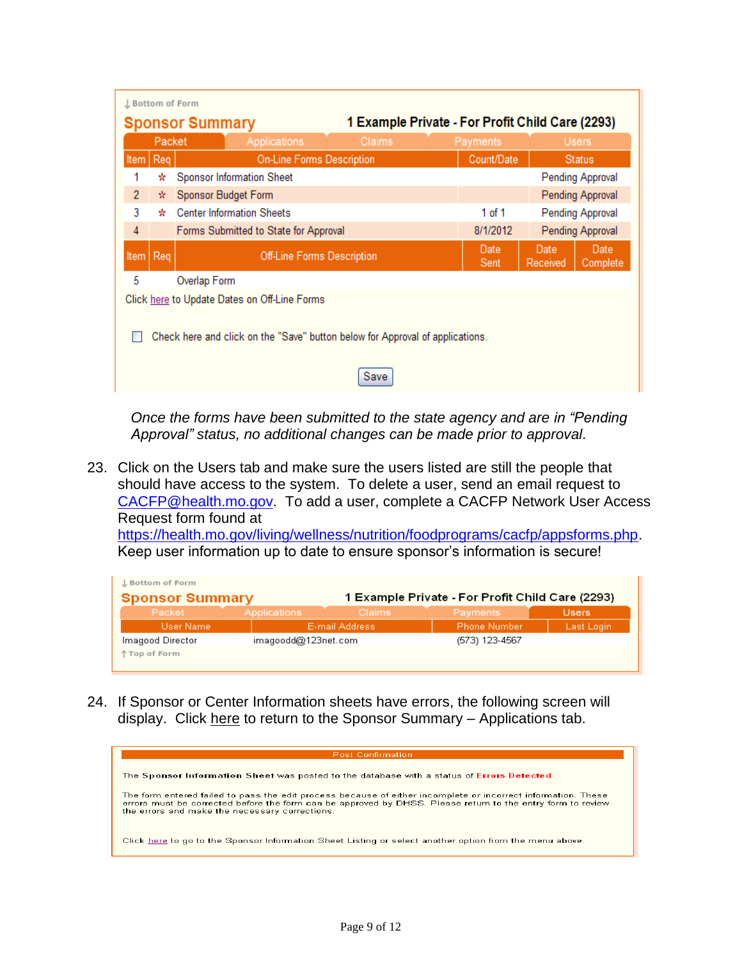|                                                                                       | J Bottom of Form<br>1 Example Private - For Profit Child Care (2293)<br><b>Sponsor Summary</b> |                     |                                              |                                   |  |                              |                  |                  |
|---------------------------------------------------------------------------------------|------------------------------------------------------------------------------------------------|---------------------|----------------------------------------------|-----------------------------------|--|------------------------------|------------------|------------------|
|                                                                                       | Packet                                                                                         |                     | <b>Applications</b>                          | Claims                            |  | Payments                     |                  | <b>Users</b>     |
| Item                                                                                  | Req                                                                                            |                     | <b>On-Line Forms Description</b>             |                                   |  | Count/Date                   |                  | <b>Status</b>    |
|                                                                                       | ÷                                                                                              |                     | Sponsor Information Sheet                    |                                   |  |                              |                  | Pending Approval |
| $\overline{2}$                                                                        | *.                                                                                             | Sponsor Budget Form |                                              |                                   |  |                              |                  | Pending Approval |
| 3                                                                                     | ₩                                                                                              |                     | <b>Center Information Sheets</b>             |                                   |  | 1 of 1                       |                  | Pending Approval |
| 4                                                                                     |                                                                                                |                     | Forms Submitted to State for Approval        |                                   |  | 8/1/2012<br>Pending Approval |                  |                  |
| Item                                                                                  | Req                                                                                            |                     |                                              | <b>Off-Line Forms Description</b> |  |                              | Date<br>Received | Date<br>Complete |
| 5                                                                                     |                                                                                                | Overlap Form        |                                              |                                   |  |                              |                  |                  |
|                                                                                       |                                                                                                |                     | Click here to Update Dates on Off-Line Forms |                                   |  |                              |                  |                  |
| Check here and click on the "Save" button below for Approval of applications.<br>Save |                                                                                                |                     |                                              |                                   |  |                              |                  |                  |

*Once the forms have been submitted to the state agency and are in "Pending Approval" status, no additional changes can be made prior to approval.*

23. Click on the Users tab and make sure the users listed are still the people that should have access to the system. To delete a user, send an email request to [CACFP@health.mo.gov.](mailto:CACFP@health.mo.gov) To add a user, complete a CACFP Network User Access Request form found at

[https://health.mo.gov/living/wellness/nutrition/foodprograms/cacfp/appsforms.php.](https://health.mo.gov/living/wellness/nutrition/foodprograms/cacfp/appsforms.php) Keep user information up to date to ensure sponsor's information is secure!

| J. Bottom of Form      |                     |                |                                                  |               |
|------------------------|---------------------|----------------|--------------------------------------------------|---------------|
| <b>Sponsor Summary</b> |                     |                | 1 Example Private - For Profit Child Care (2293) |               |
| Packet                 | Applications        | <b>Claims</b>  | Payments                                         | <b>Users</b>  |
| User Name              |                     | E-mail Address | Phone Number                                     | 'Last Login', |
| Imagood Director       | imagoodd@123net.com |                | (573) 123-4567                                   |               |
| 个 Top of Form          |                     |                |                                                  |               |

24. If Sponsor or Center Information sheets have errors, the following screen will display. Click here to return to the Sponsor Summary - Applications tab.

| <b>Post Confirmation</b>                                                                                                                                                                                                                                                       |
|--------------------------------------------------------------------------------------------------------------------------------------------------------------------------------------------------------------------------------------------------------------------------------|
| The Sponsor Information Sheet was posted to the database with a status of Errors Detected.                                                                                                                                                                                     |
| The form entered failed to pass the edit process because of either incomplete or incorrect information. These<br>errors must be corrected before the form can be approved by DHSS. Please return to the entry form to review<br>the errors and make the necessary corrections. |
| Click here to go to the Sponsor Information Sheet Listing or select another option from the menu above.                                                                                                                                                                        |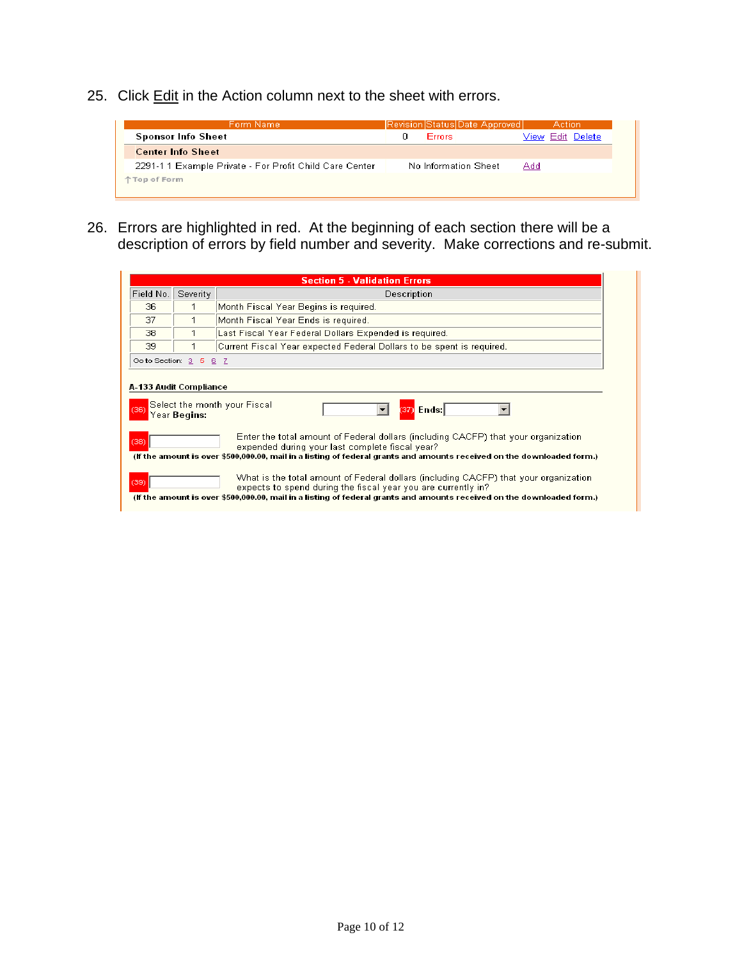25. Click Edit in the Action column next to the sheet with errors.



26. Errors are highlighted in red. At the beginning of each section there will be a description of errors by field number and severity. Make corrections and re-submit.

| <b>Section 5 - Validation Errors</b>                                                                                                                                                                                                                                                                                                                                           |                        |                                                                       |  |  |  |  |
|--------------------------------------------------------------------------------------------------------------------------------------------------------------------------------------------------------------------------------------------------------------------------------------------------------------------------------------------------------------------------------|------------------------|-----------------------------------------------------------------------|--|--|--|--|
| Field No.                                                                                                                                                                                                                                                                                                                                                                      | Severity               | Description                                                           |  |  |  |  |
| 36                                                                                                                                                                                                                                                                                                                                                                             |                        | Month Fiscal Year Begins is required.                                 |  |  |  |  |
| 37                                                                                                                                                                                                                                                                                                                                                                             |                        | Month Fiscal Year Ends is required.                                   |  |  |  |  |
| 38                                                                                                                                                                                                                                                                                                                                                                             |                        | Last Fiscal Year Federal Dollars Expended is required.                |  |  |  |  |
| 39                                                                                                                                                                                                                                                                                                                                                                             |                        | Current Fiscal Year expected Federal Dollars to be spent is required. |  |  |  |  |
|                                                                                                                                                                                                                                                                                                                                                                                | Go to Section: 3 5 6 7 |                                                                       |  |  |  |  |
| A-133 Audit Compliance<br>Select the month your Fiscal<br>(37) Ends  <br>(36<br>Year <b>Begins:</b><br>Enter the total amount of Federal dollars (including CACFP) that your organization<br>(38)<br>expended during your last complete fiscal year?<br>(If the amount is over \$500,000.00, mail in a listing of federal grants and amounts received on the downloaded form.) |                        |                                                                       |  |  |  |  |
| What is the total amount of Federal dollars (including CACFP) that your organization<br>(39)<br>expects to spend during the fiscal year you are currently in?<br>(If the amount is over \$500,000.00, mail in a listing of federal grants and amounts received on the downloaded form.)                                                                                        |                        |                                                                       |  |  |  |  |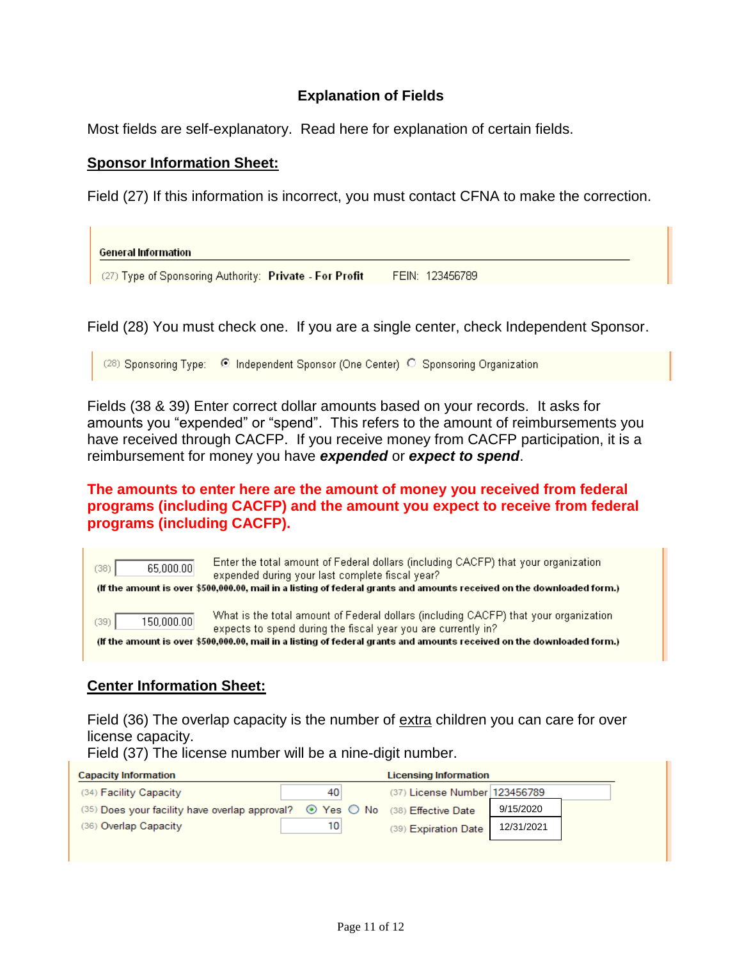# **Explanation of Fields**

Most fields are self-explanatory. Read here for explanation of certain fields.

#### **Sponsor Information Sheet:**

Field (27) If this information is incorrect, you must contact CFNA to make the correction.

**General Information** (27) Type of Sponsoring Authority: Private - For Profit FEIN: 123456789

Field (28) You must check one. If you are a single center, check Independent Sponsor.

(28) Sponsoring Type: © Independent Sponsor (One Center) © Sponsoring Organization

Fields (38 & 39) Enter correct dollar amounts based on your records. It asks for amounts you "expended" or "spend". This refers to the amount of reimbursements you have received through CACFP. If you receive money from CACFP participation, it is a reimbursement for money you have *expended* or *expect to spend*.

### **The amounts to enter here are the amount of money you received from federal programs (including CACFP) and the amount you expect to receive from federal programs (including CACFP).**

| (38) | 65,000.00  | Enter the total amount of Federal dollars (including CACFP) that your organization<br>expended during your last complete fiscal year?<br>(If the amount is over \$500,000.00, mail in a listing of federal grants and amounts received on the downloaded form.)                 |
|------|------------|---------------------------------------------------------------------------------------------------------------------------------------------------------------------------------------------------------------------------------------------------------------------------------|
| (39) | 150,000.00 | What is the total amount of Federal dollars (including CACFP) that your organization<br>expects to spend during the fiscal year you are currently in?<br>(If the amount is over \$500,000.00, mail in a listing of federal grants and amounts received on the downloaded form.) |

### **Center Information Sheet:**

Field (36) The overlap capacity is the number of extra children you can care for over license capacity.

Field (37) The license number will be a nine-digit number.

| <b>Capacity Information</b>                                                                        | <b>Licensing Information</b> |                               |            |  |
|----------------------------------------------------------------------------------------------------|------------------------------|-------------------------------|------------|--|
| (34) Facility Capacity                                                                             | 40                           | (37) License Number 123456789 |            |  |
| (35) Does your facility have overlap approval? $\bullet$ Yes $\circledcirc$ No (38) Effective Date |                              |                               | 9/15/2020  |  |
| (36) Overlap Capacity                                                                              | 10                           | (39) Expiration Date          | 12/31/2021 |  |